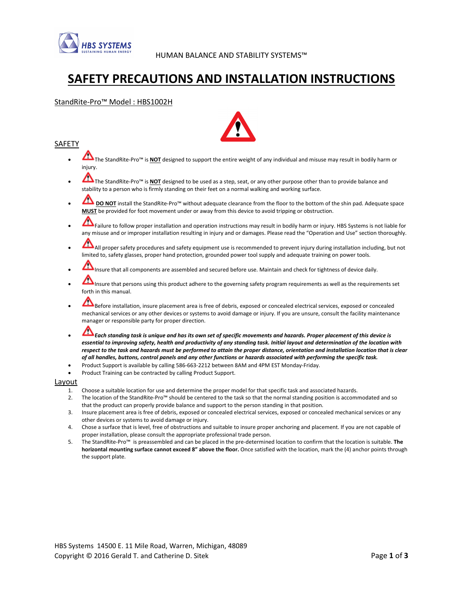

# SAFETY PRECAUTIONS AND INSTALLATION INSTRUCTIONS

# StandRite-Pro™ Model : HBS1002H

# SAFETY

- The StandRite-Pro™ is NOT designed to support the entire weight of any individual and misuse may result in bodily harm or iniurv.
- The StandRite-Pro™ is NOT designed to be used as a step, seat, or any other purpose other than to provide balance and stability to a person who is firmly standing on their feet on a normal walking and working surface.
- DO NOT install the StandRite-Pro™ without adequate clearance from the floor to the bottom of the shin pad. Adequate space MUST be provided for foot movement under or away from this device to avoid tripping or obstruction.
- Failure to follow proper installation and operation instructions may result in bodily harm or injury. HBS Systems is not liable for any misuse and or improper installation resulting in injury and or damages. Please read the "Operation and Use" section thoroughly.
- All proper safety procedures and safety equipment use is recommended to prevent injury during installation including, but not limited to, safety glasses, proper hand protection, grounded power tool supply and adequate training on power tools.
- Insure that all components are assembled and secured before use. Maintain and check for tightness of device daily.
- Insure that persons using this product adhere to the governing safety program requirements as well as the requirements set forth in this manual.
- Before installation, insure placement area is free of debris, exposed or concealed electrical services, exposed or concealed mechanical services or any other devices or systems to avoid damage or injury. If you are unsure, consult the facility maintenance manager or responsible party for proper direction.
- Each standing task is unique and has its own set of specific movements and hazards. Proper placement of this device is essential to improving safety, health and productivity of any standing task. Initial layout and determination of the location with respect to the task and hazards must be performed to attain the proper distance, orientation and installation location that is clear of all handles, buttons, control panels and any other functions or hazards associated with performing the specific task.
- Product Support is available by calling 586-663-2212 between 8AM and 4PM EST Monday-Friday.
- Product Training can be contracted by calling Product Support.

#### Layout

- 1. Choose a suitable location for use and determine the proper model for that specific task and associated hazards.
- 2. The location of the StandRite-Pro™ should be centered to the task so that the normal standing position is accommodated and so that the product can properly provide balance and support to the person standing in that position.
- 3. Insure placement area is free of debris, exposed or concealed electrical services, exposed or concealed mechanical services or any other devices or systems to avoid damage or injury.
- 4. Chose a surface that is level, free of obstructions and suitable to insure proper anchoring and placement. If you are not capable of proper installation, please consult the appropriate professional trade person.
- 5. The StandRite-Pro™ is preassembled and can be placed in the pre-determined location to confirm that the location is suitable. The horizontal mounting surface cannot exceed 8" above the floor. Once satisfied with the location, mark the (4) anchor points through the support plate.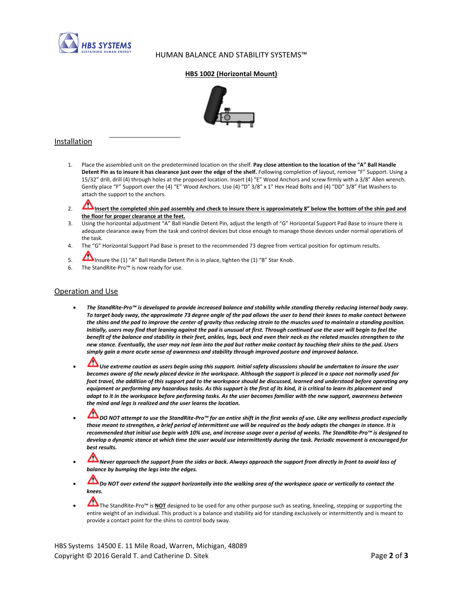

 $\overline{a}$ 

# HUMAN BALANCE AND STABILITY SYSTEMS™

#### HBS 1002 (Horizontal Mount)



# Installation

- Place the assembled unit on the predetermined location on the shelf. Pay close attention to the location of the "A" Ball Handle Detent Pin as to insure it has clearance just over the edge of the shelf. Following completion of layout, remove "F" Support. Using a 15/32" drill, drill (4) through holes at the proposed location. Insert (4) "E" Wood Anchors and screw firmly with a 3/8" Allen wrench. Gently place "F" Support over the (4) "E" Wood Anchors. Use (4) "D" 3/8" x 1" Hex Head Bolts and (4) "DD" 3/8" Flat Washers to attach the support to the anchors.
- 2. **Insert the completed shin pad assembly and check to insure there is approximately 8" below the bottom of the shin pad and** the floor for proper clearance at the feet.
- 3. Using the horizontal adjustment "A" Ball Handle Detent Pin, adjust the length of "G" Horizontal Support Pad Base to insure there is adequate clearance away from the task and control devices but close enough to manage those devices under normal operations of the task.
- 4. The "G" Horizontal Support Pad Base is preset to the recommended 73 degree from vertical position for optimum results.
- 5. Insure the (1) "A" Ball Handle Detent Pin is in place, tighten the (1) "B" Star Knob.
- 6. The StandRite-Pro™ is now ready for use.

#### Operation and Use

- The StandRite-Pro™ is developed to provide increased balance and stability while standing thereby reducing internal body sway. To target body sway, the approximate 73 degree angle of the pad allows the user to bend their knees to make contact between the shins and the pad to improve the center of gravity thus reducing strain to the muscles used to maintain a standing position. Initially, users may find that leaning against the pad is unusual at first. Through continued use the user will begin to feel the benefit of the balance and stability in their feet, ankles, legs, back and even their neck as the related muscles strengthen to the new stance. Eventually, the user may not lean into the pad but rather make contact by touching their shins to the pad. Users simply gain a more acute sense of awareness and stability through improved posture and improved balance.
- $\Box$  Use extreme caution as users begin using this support. Initial safety discussions should be undertaken to insure the user becomes aware of the newly placed device in the workspace. Although the support is placed in a space not normally used for foot travel, the addition of this support pad to the workspace should be discussed, learned and understood before operating any equipment or performing any hazardous tasks. As this support is the first of its kind, it is critical to learn its placement and adapt to it in the workspace before performing tasks. As the user becomes familiar with the new support, awareness between the mind and legs is realized and the user learns the location.
- DO NOT attempt to use the StandRite-Pro™ for an entire shift in the first weeks of use. Like any wellness product especially those meant to strengthen, a brief period of intermittent use will be required as the body adapts the changes in stance. It is recommended that initial use begin with 10% use, and increase usage over a period of weeks. The StandRite-Pro™ is designed to develop a dynamic stance at which time the user would use intermittently during the task. Periodic movement is encouraged for best results.
- Never approach the support from the sides or back. Always approach the support from directly in front to avoid loss of balance by bumping the legs into the edges.
- Do NOT over extend the support horizontally into the walking area of the workspace space or vertically to contact the knees.
- The StandRite-Pro™ is NOT designed to be used for any other purpose such as seating, kneeling, stepping or supporting the entire weight of an individual. This product is a balance and stability aid for standing exclusively or intermittently and is meant to provide a contact point for the shins to control body sway.

HBS Systems 14500 E. 11 Mile Road, Warren, Michigan, 48089 Copyright © 2016 Gerald T. and Catherine D. Sitek **Page 2 of 3** and Catherine D. Sitek Page 2 of 3